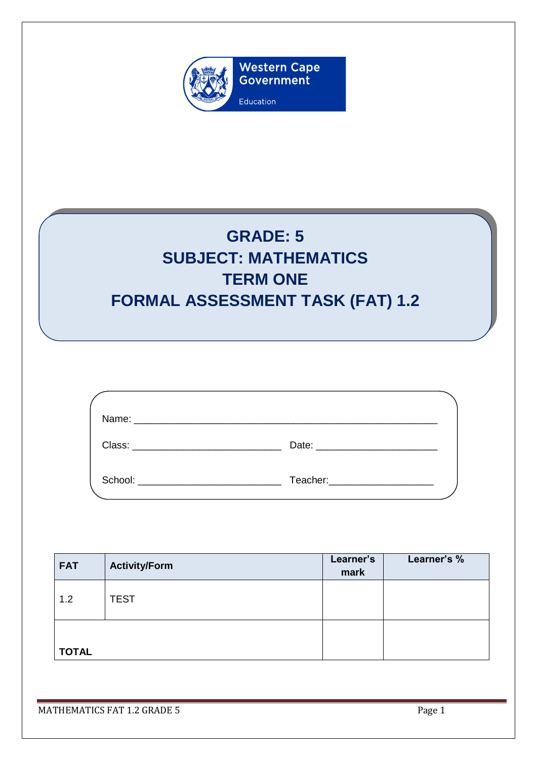

# **GRADE: 5 SUBJECT: MATHEMATICS TERM ONE FORMAL ASSESSMENT TASK (FAT) 1.2**

| Class: Class and Class and Class and Class and Class and Class and Class and Class and Class and Class and Cla | Date: <u>______________________</u>                                                                                                                                                                                            |  |
|----------------------------------------------------------------------------------------------------------------|--------------------------------------------------------------------------------------------------------------------------------------------------------------------------------------------------------------------------------|--|
| School:                                                                                                        | Teacher: Network and Separate and Separate and Separate and Separate and Separate and Separate and Separate and Separate and Separate and Separate and Separate and Separate and Separate and Separate and Separate and Separa |  |

| <b>FAT</b>   | <b>Activity/Form</b> | Learner's<br>mark | Learner's % |
|--------------|----------------------|-------------------|-------------|
| 1.2          | <b>TEST</b>          |                   |             |
| <b>TOTAL</b> |                      |                   |             |

MATHEMATICS FAT 1.2 GRADE 5 Page 1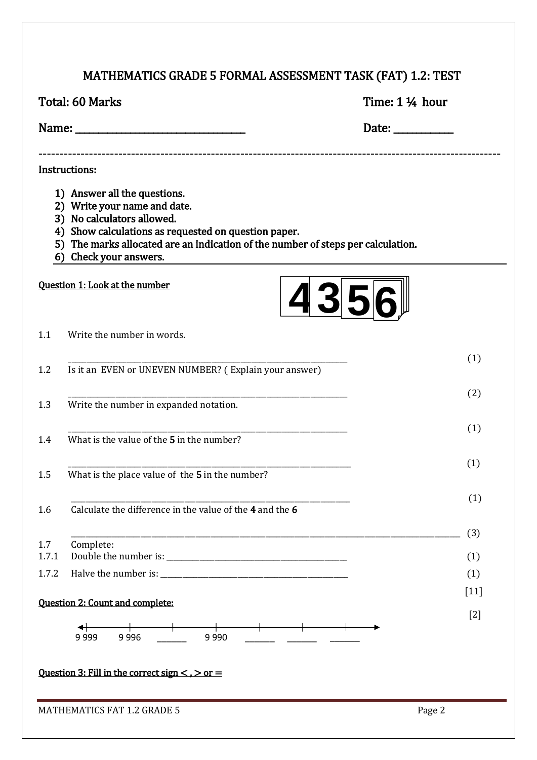## MATHEMATICS GRADE 5 FORMAL ASSESSMENT TASK (FAT) 1.2: TEST

|              | <b>Total: 60 Marks</b>                                                                                                                                                                                                                                           | Time: 1 ¼ hour                                         |
|--------------|------------------------------------------------------------------------------------------------------------------------------------------------------------------------------------------------------------------------------------------------------------------|--------------------------------------------------------|
|              |                                                                                                                                                                                                                                                                  | Date: $\frac{1}{\sqrt{1-\frac{1}{2}}\cdot\frac{1}{2}}$ |
|              | Instructions:                                                                                                                                                                                                                                                    |                                                        |
|              | 1) Answer all the questions.<br>2) Write your name and date.<br>3) No calculators allowed.<br>4) Show calculations as requested on question paper.<br>5) The marks allocated are an indication of the number of steps per calculation.<br>6) Check your answers. |                                                        |
|              | Question 1: Look at the number<br>4356                                                                                                                                                                                                                           |                                                        |
| 1.1          | Write the number in words.                                                                                                                                                                                                                                       |                                                        |
| 1.2          | Is it an EVEN or UNEVEN NUMBER? (Explain your answer)                                                                                                                                                                                                            | (1)                                                    |
| 1.3          | Write the number in expanded notation.                                                                                                                                                                                                                           | (2)                                                    |
| 1.4          | What is the value of the 5 in the number?                                                                                                                                                                                                                        | (1)                                                    |
| 1.5          | What is the place value of the 5 in the number?                                                                                                                                                                                                                  | (1)                                                    |
| 1.6          | Calculate the difference in the value of the 4 and the 6                                                                                                                                                                                                         | (1)                                                    |
| 1.7<br>1.7.1 | Complete:                                                                                                                                                                                                                                                        | (3)<br>(1)                                             |
| 1.7.2        |                                                                                                                                                                                                                                                                  | (1)                                                    |
|              | <b>Question 2: Count and complete:</b>                                                                                                                                                                                                                           | $[11]$                                                 |
|              | ╅<br>9 9 9 9<br>9996<br>9 9 9 0                                                                                                                                                                                                                                  | $[2]$                                                  |
|              | Question 3: Fill in the correct sign $\lt$ , $>$ or $=$                                                                                                                                                                                                          |                                                        |
|              | <b>MATHEMATICS FAT 1.2 GRADE 5</b>                                                                                                                                                                                                                               | Page 2                                                 |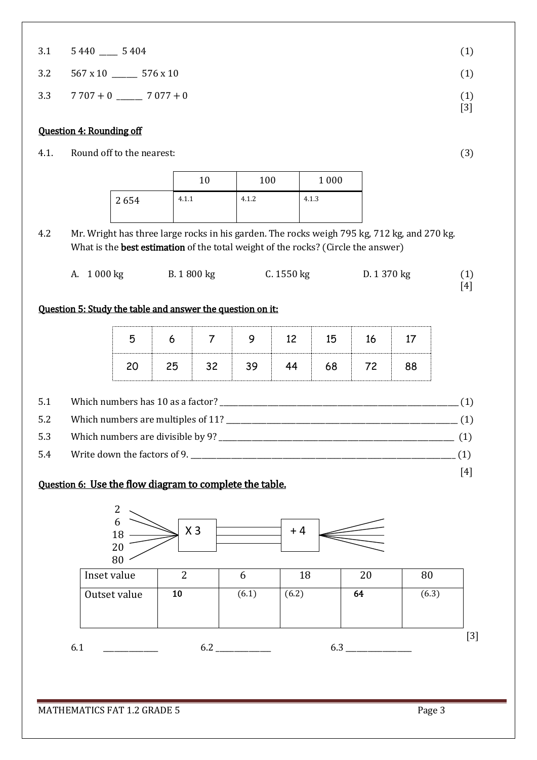|  | $3.1 \qquad 5440$<br>_______ | 5404 |  | (1) |
|--|------------------------------|------|--|-----|
|--|------------------------------|------|--|-----|

 $3.2 \quad 567 \times 10 \quad \text{(1)}$ 

 $3.3 \t 7.707 + 0 \t 7.077 + 0$  (1)

#### Question 4: Rounding off

4.1. Round off to the nearest: (3)

|      | 10    | 100   | 1 0 0 0 |
|------|-------|-------|---------|
| 2654 | 4.1.1 | 4.1.2 | 4.1.3   |

4.2 Mr. Wright has three large rocks in his garden. The rocks weigh 795 kg, 712 kg, and 270 kg. What is the **best estimation** of the total weight of the rocks? (Circle the answer)

| A. 1 000 kg | B. 1800 kg | C. 1550 kg | D. 1 370 kg | (1) |
|-------------|------------|------------|-------------|-----|
|             |            |            |             | [4] |

#### Question 5: Study the table and answer the question on it:

| 5.1 |                              | (1) |
|-----|------------------------------|-----|
| 5.2 |                              | (1) |
| 5.3 |                              |     |
| 5.4 | Write down the factors of 9. |     |
|     |                              | [4] |

#### Question 6: Use the flow diagram to complete the table.



MATHEMATICS FAT 1.2 GRADE 5 Page 3

[3]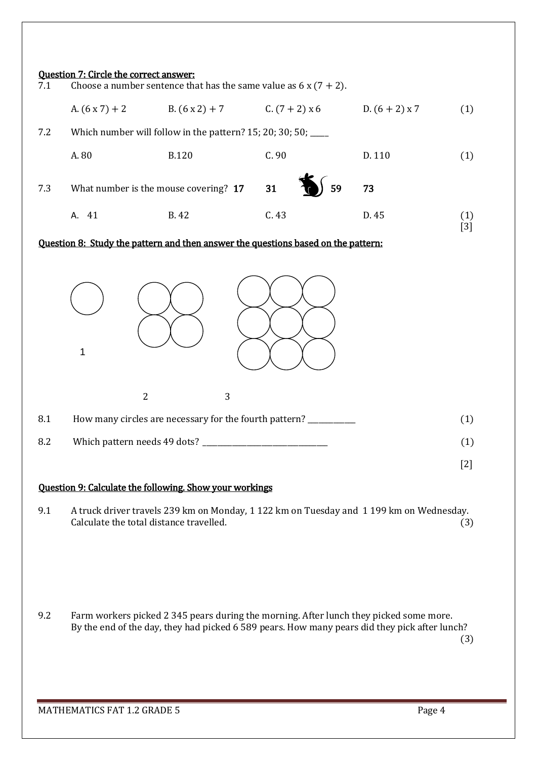| 7.1 | <b>Question 7: Circle the correct answer:</b> | Choose a number sentence that has the same value as $6 \times (7 + 2)$ .  |                  |                  |     |
|-----|-----------------------------------------------|---------------------------------------------------------------------------|------------------|------------------|-----|
|     | A. $(6x7) + 2$                                | $B. (6 x 2) + 7$                                                          | C. $(7 + 2)$ x 6 | D. $(6 + 2)$ x 7 | (1) |
| 7.2 |                                               | Which number will follow in the pattern? $15$ ; $20$ ; $30$ ; $50$ ; ____ |                  |                  |     |
|     | A. 80                                         | <b>B.120</b>                                                              | C.90             | D. 110           |     |
| 7.3 | What number is the mouse covering? 17         |                                                                           | 59<br>31         | 73               |     |
|     | A. 41                                         | B. 42                                                                     | C.43             | D. 45            |     |

#### Question 8: Study the pattern and then answer the questions based on the pattern:



#### Question 9: Calculate the following. Show your workings

9.1 A truck driver travels 239 km on Monday, 1 122 km on Tuesday and 1 199 km on Wednesday. Calculate the total distance travelled. (3)

9.2 Farm workers picked 2 345 pears during the morning. After lunch they picked some more. By the end of the day, they had picked 6 589 pears. How many pears did they pick after lunch?

(3)

[2]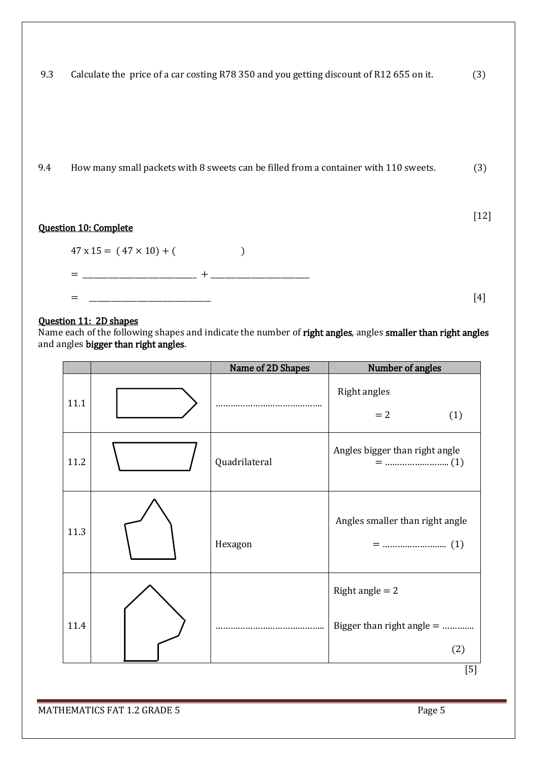|  | 9.3 Calculate the price of a car costing R78 350 and you getting discount of R12 655 on it. |  | (3) |
|--|---------------------------------------------------------------------------------------------|--|-----|
|  |                                                                                             |  |     |

9.4 How many small packets with 8 sweets can be filled from a container with 110 sweets. (3)

#### Question 10: Complete



[12]

#### Question 11: 2D shapes

Name each of the following shapes and indicate the number of **right angles**, angles **smaller than right angles** and angles bigger than right angles.

|      | Name of 2D Shapes | Number of angles                                      |
|------|-------------------|-------------------------------------------------------|
| 11.1 |                   | <b>Right angles</b><br>$= 2$<br>(1)                   |
| 11.2 | Quadrilateral     | Angles bigger than right angle                        |
| 11.3 | Hexagon           | Angles smaller than right angle                       |
| 11.4 |                   | Right angle $= 2$<br>Bigger than right angle =<br>(2) |

[5]

MATHEMATICS FAT 1.2 GRADE 5 Page 5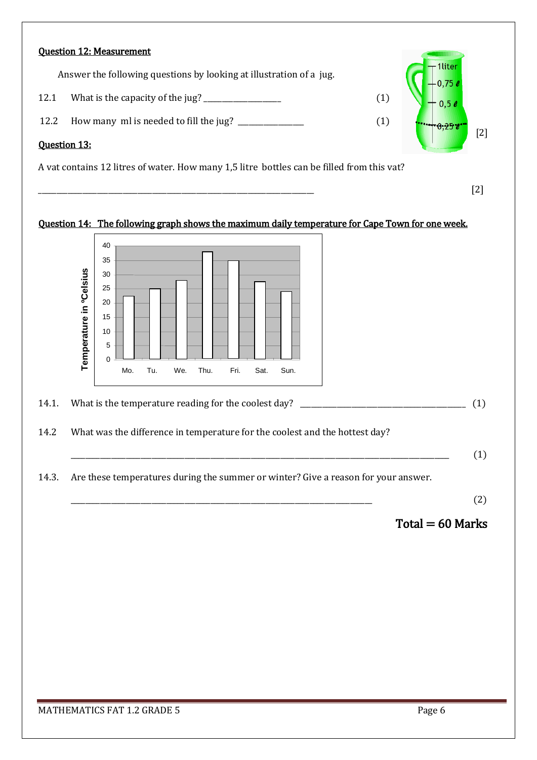